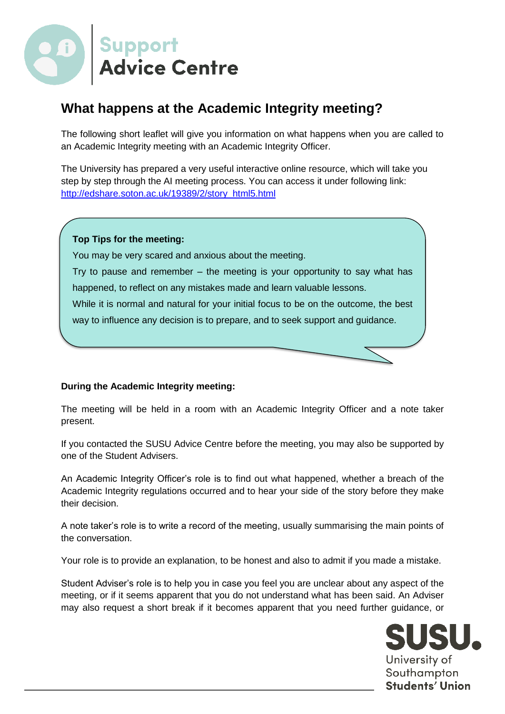

# **What happens at the Academic Integrity meeting?**

The following short leaflet will give you information on what happens when you are called to an Academic Integrity meeting with an Academic Integrity Officer.

The University has prepared a very useful interactive online resource, which will take you step by step through the AI meeting process. You can access it under following link: [http://edshare.soton.ac.uk/19389/2/story\\_html5.html](http://edshare.soton.ac.uk/19389/2/story_html5.html)

## **Top Tips for the meeting:**

You may be very scared and anxious about the meeting.

Try to pause and remember – the meeting is your opportunity to say what has happened, to reflect on any mistakes made and learn valuable lessons.

While it is normal and natural for your initial focus to be on the outcome, the best

way to influence any decision is to prepare, and to seek support and guidance.

### **During the Academic Integrity meeting:**

The meeting will be held in a room with an Academic Integrity Officer and a note taker present.

If you contacted the SUSU Advice Centre before the meeting, you may also be supported by one of the Student Advisers.

An Academic Integrity Officer's role is to find out what happened, whether a breach of the Academic Integrity regulations occurred and to hear your side of the story before they make their decision.

A note taker's role is to write a record of the meeting, usually summarising the main points of the conversation.

Your role is to provide an explanation, to be honest and also to admit if you made a mistake.

Student Adviser's role is to help you in case you feel you are unclear about any aspect of the meeting, or if it seems apparent that you do not understand what has been said. An Adviser may also request a short break if it becomes apparent that you need further guidance, or

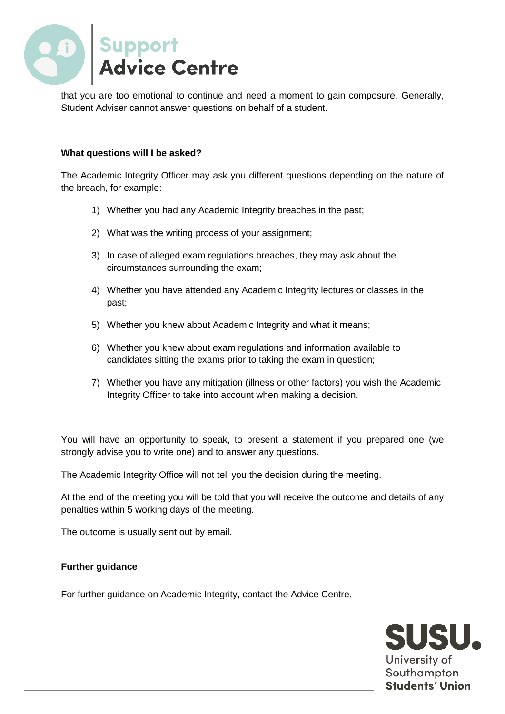

that you are too emotional to continue and need a moment to gain composure. Generally, Student Adviser cannot answer questions on behalf of a student.

#### **What questions will I be asked?**

The Academic Integrity Officer may ask you different questions depending on the nature of the breach, for example:

- 1) Whether you had any Academic Integrity breaches in the past;
- 2) What was the writing process of your assignment;
- 3) In case of alleged exam regulations breaches, they may ask about the circumstances surrounding the exam;
- 4) Whether you have attended any Academic Integrity lectures or classes in the past;
- 5) Whether you knew about Academic Integrity and what it means;
- 6) Whether you knew about exam regulations and information available to candidates sitting the exams prior to taking the exam in question;
- 7) Whether you have any mitigation (illness or other factors) you wish the Academic Integrity Officer to take into account when making a decision.

You will have an opportunity to speak, to present a statement if you prepared one (we strongly advise you to write one) and to answer any questions.

The Academic Integrity Office will not tell you the decision during the meeting.

At the end of the meeting you will be told that you will receive the outcome and details of any penalties within 5 working days of the meeting.

The outcome is usually sent out by email.

### **Further guidance**

For further guidance on Academic Integrity, contact the Advice Centre.